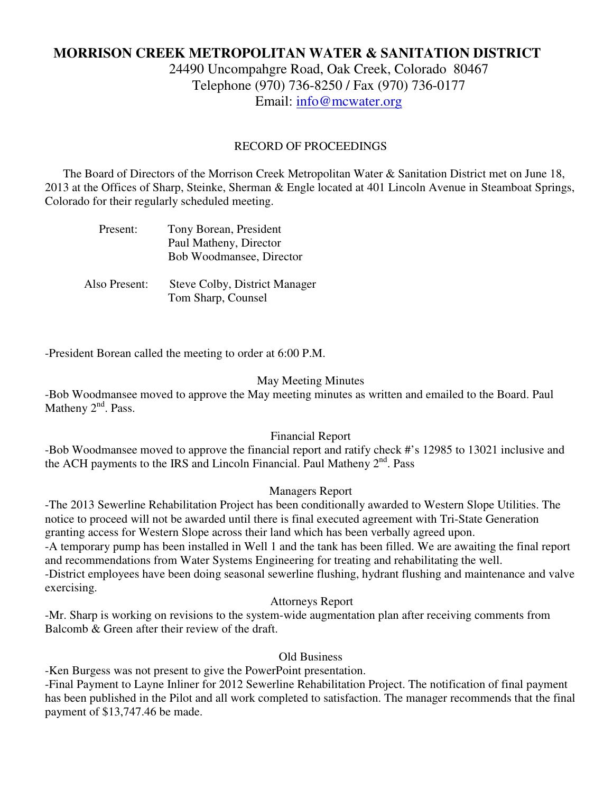# **MORRISON CREEK METROPOLITAN WATER & SANITATION DISTRICT**

24490 Uncompahgre Road, Oak Creek, Colorado 80467 Telephone (970) 736-8250 / Fax (970) 736-0177 Email: info@mcwater.org

#### RECORD OF PROCEEDINGS

 The Board of Directors of the Morrison Creek Metropolitan Water & Sanitation District met on June 18, 2013 at the Offices of Sharp, Steinke, Sherman & Engle located at 401 Lincoln Avenue in Steamboat Springs, Colorado for their regularly scheduled meeting.

| Present: | Tony Borean, President   |
|----------|--------------------------|
|          | Paul Matheny, Director   |
|          | Bob Woodmansee, Director |
|          |                          |

 Also Present: Steve Colby, District Manager Tom Sharp, Counsel

-President Borean called the meeting to order at 6:00 P.M.

#### May Meeting Minutes

-Bob Woodmansee moved to approve the May meeting minutes as written and emailed to the Board. Paul Matheny  $2<sup>nd</sup>$ . Pass.

## Financial Report

-Bob Woodmansee moved to approve the financial report and ratify check #'s 12985 to 13021 inclusive and the ACH payments to the IRS and Lincoln Financial. Paul Matheny 2<sup>nd</sup>. Pass

## Managers Report

-The 2013 Sewerline Rehabilitation Project has been conditionally awarded to Western Slope Utilities. The notice to proceed will not be awarded until there is final executed agreement with Tri-State Generation granting access for Western Slope across their land which has been verbally agreed upon. -A temporary pump has been installed in Well 1 and the tank has been filled. We are awaiting the final report and recommendations from Water Systems Engineering for treating and rehabilitating the well. -District employees have been doing seasonal sewerline flushing, hydrant flushing and maintenance and valve exercising.

#### Attorneys Report

-Mr. Sharp is working on revisions to the system-wide augmentation plan after receiving comments from Balcomb & Green after their review of the draft.

Old Business

-Ken Burgess was not present to give the PowerPoint presentation.

-Final Payment to Layne Inliner for 2012 Sewerline Rehabilitation Project. The notification of final payment has been published in the Pilot and all work completed to satisfaction. The manager recommends that the final payment of \$13,747.46 be made.